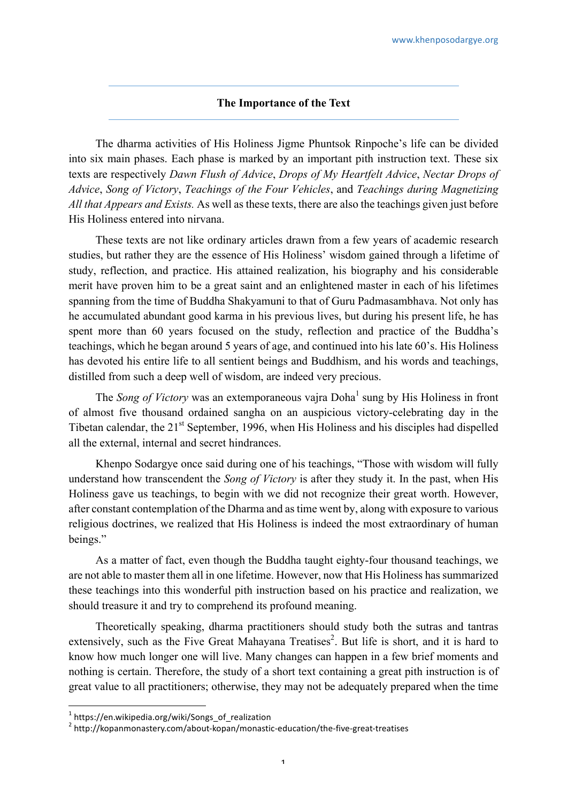## **The Importance of the Text**

The dharma activities of His Holiness Jigme Phuntsok Rinpoche's life can be divided into six main phases. Each phase is marked by an important pith instruction text. These six texts are respectively *Dawn Flush of Advice*, *Drops of My Heartfelt Advice*, *Nectar Drops of Advice*, *Song of Victory*, *Teachings of the Four Vehicles*, and *Teachings during Magnetizing All that Appears and Exists.* As well as these texts, there are also the teachings given just before His Holiness entered into nirvana.

These texts are not like ordinary articles drawn from a few years of academic research studies, but rather they are the essence of His Holiness' wisdom gained through a lifetime of study, reflection, and practice. His attained realization, his biography and his considerable merit have proven him to be a great saint and an enlightened master in each of his lifetimes spanning from the time of Buddha Shakyamuni to that of Guru Padmasambhava. Not only has he accumulated abundant good karma in his previous lives, but during his present life, he has spent more than 60 years focused on the study, reflection and practice of the Buddha's teachings, which he began around 5 years of age, and continued into his late 60's. His Holiness has devoted his entire life to all sentient beings and Buddhism, and his words and teachings, distilled from such a deep well of wisdom, are indeed very precious.

The *Song of Victory* was an extemporaneous vaira Doha<sup>1</sup> sung by His Holiness in front of almost five thousand ordained sangha on an auspicious victory-celebrating day in the Tibetan calendar, the 21<sup>st</sup> September, 1996, when His Holiness and his disciples had dispelled all the external, internal and secret hindrances.

Khenpo Sodargye once said during one of his teachings, "Those with wisdom will fully understand how transcendent the *Song of Victory* is after they study it. In the past, when His Holiness gave us teachings, to begin with we did not recognize their great worth. However, after constant contemplation of the Dharma and as time went by, along with exposure to various religious doctrines, we realized that His Holiness is indeed the most extraordinary of human beings."

As a matter of fact, even though the Buddha taught eighty-four thousand teachings, we are not able to master them all in one lifetime. However, now that His Holiness has summarized these teachings into this wonderful pith instruction based on his practice and realization, we should treasure it and try to comprehend its profound meaning.

Theoretically speaking, dharma practitioners should study both the sutras and tantras extensively, such as the Five Great Mahayana Treatises<sup>2</sup>. But life is short, and it is hard to know how much longer one will live. Many changes can happen in a few brief moments and nothing is certain. Therefore, the study of a short text containing a great pith instruction is of great value to all practitioners; otherwise, they may not be adequately prepared when the time

 $^1$  https://en.wikipedia.org/wiki/Songs\_of\_realization

<sup>2</sup> http://kopanmonastery.com/about-kopan/monastic-education/the-five-great-treatises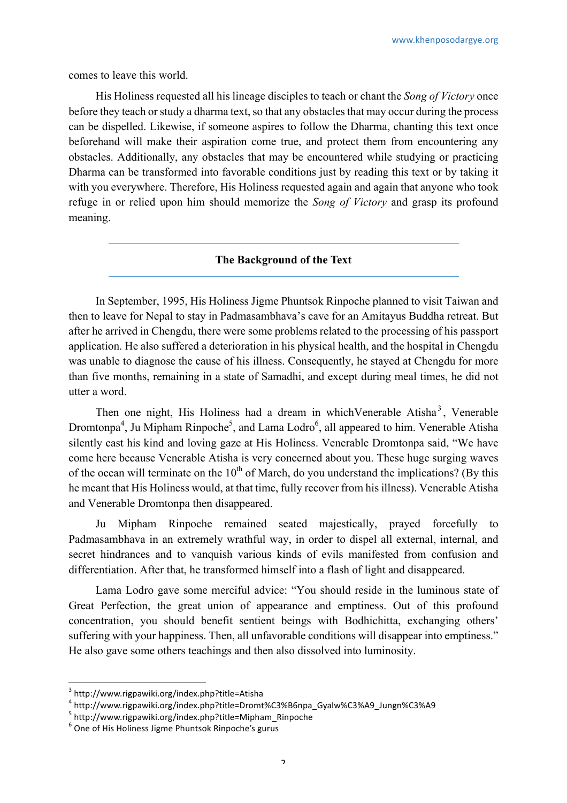comes to leave this world.

His Holiness requested all his lineage disciples to teach or chant the *Song of Victory* once before they teach or study a dharma text, so that any obstacles that may occur during the process can be dispelled. Likewise, if someone aspires to follow the Dharma, chanting this text once beforehand will make their aspiration come true, and protect them from encountering any obstacles. Additionally, any obstacles that may be encountered while studying or practicing Dharma can be transformed into favorable conditions just by reading this text or by taking it with you everywhere. Therefore, His Holiness requested again and again that anyone who took refuge in or relied upon him should memorize the *Song of Victory* and grasp its profound meaning.

## **The Background of the Text**

In September, 1995, His Holiness Jigme Phuntsok Rinpoche planned to visit Taiwan and then to leave for Nepal to stay in Padmasambhava's cave for an Amitayus Buddha retreat. But after he arrived in Chengdu, there were some problems related to the processing of his passport application. He also suffered a deterioration in his physical health, and the hospital in Chengdu was unable to diagnose the cause of his illness. Consequently, he stayed at Chengdu for more than five months, remaining in a state of Samadhi, and except during meal times, he did not utter a word.

Then one night, His Holiness had a dream in which Venerable Atisha<sup>3</sup>, Venerable Dromtonpa<sup>4</sup>, Ju Mipham Rinpoche<sup>5</sup>, and Lama Lodro<sup>6</sup>, all appeared to him. Venerable Atisha silently cast his kind and loving gaze at His Holiness. Venerable Dromtonpa said, "We have come here because Venerable Atisha is very concerned about you. These huge surging waves of the ocean will terminate on the  $10<sup>th</sup>$  of March, do you understand the implications? (By this he meant that His Holiness would, at that time, fully recover from his illness). Venerable Atisha and Venerable Dromtonpa then disappeared.

Ju Mipham Rinpoche remained seated majestically, prayed forcefully to Padmasambhava in an extremely wrathful way, in order to dispel all external, internal, and secret hindrances and to vanquish various kinds of evils manifested from confusion and differentiation. After that, he transformed himself into a flash of light and disappeared.

Lama Lodro gave some merciful advice: "You should reside in the luminous state of Great Perfection, the great union of appearance and emptiness. Out of this profound concentration, you should benefit sentient beings with Bodhichitta, exchanging others' suffering with your happiness. Then, all unfavorable conditions will disappear into emptiness." He also gave some others teachings and then also dissolved into luminosity.

<sup>3</sup> http://www.rigpawiki.org/index.php?title=Atisha

<sup>4</sup> http://www.rigpawiki.org/index.php?title=Dromt%C3%B6npa\_Gyalw%C3%A9\_Jungn%C3%A9<br>5 http://www.rigpawiki.org/index.php?title=Mipham\_Rinpoche

 $6$  One of His Holiness Jigme Phuntsok Rinpoche's gurus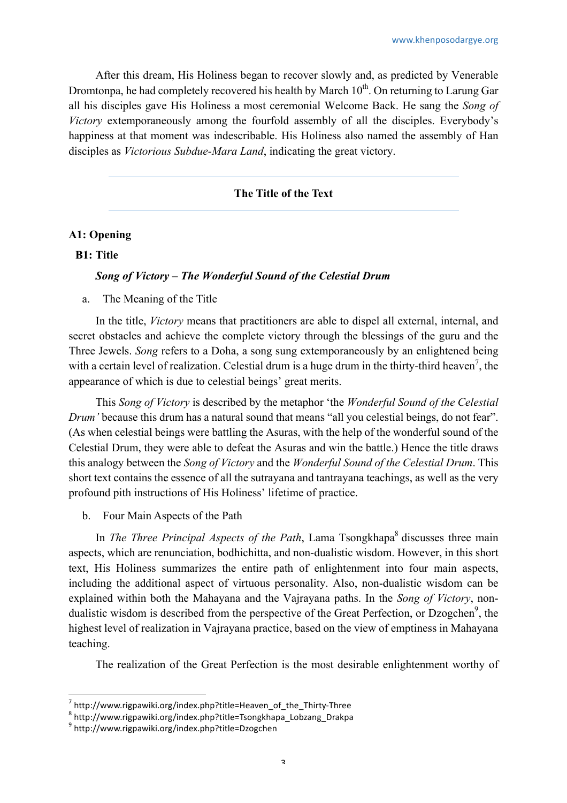After this dream, His Holiness began to recover slowly and, as predicted by Venerable Dromtonpa, he had completely recovered his health by March  $10<sup>th</sup>$ . On returning to Larung Gar all his disciples gave His Holiness a most ceremonial Welcome Back. He sang the *Song of Victory* extemporaneously among the fourfold assembly of all the disciples. Everybody's happiness at that moment was indescribable. His Holiness also named the assembly of Han disciples as *Victorious Subdue-Mara Land*, indicating the great victory.

### **The Title of the Text**

### **A1: Opening**

#### **B1: Title**

#### *Song of Victory – The Wonderful Sound of the Celestial Drum*

a. The Meaning of the Title

In the title, *Victory* means that practitioners are able to dispel all external, internal, and secret obstacles and achieve the complete victory through the blessings of the guru and the Three Jewels. *Song* refers to a Doha, a song sung extemporaneously by an enlightened being with a certain level of realization. Celestial drum is a huge drum in the thirty-third heaven<sup>7</sup>, the appearance of which is due to celestial beings' great merits.

This *Song of Victory* is described by the metaphor 'the *Wonderful Sound of the Celestial Drum'* because this drum has a natural sound that means "all you celestial beings, do not fear". (As when celestial beings were battling the Asuras, with the help of the wonderful sound of the Celestial Drum, they were able to defeat the Asuras and win the battle.) Hence the title draws this analogy between the *Song of Victory* and the *Wonderful Sound of the Celestial Drum*. This short text contains the essence of all the sutrayana and tantrayana teachings, as well as the very profound pith instructions of His Holiness' lifetime of practice.

b. Four Main Aspects of the Path

In *The Three Principal Aspects of the Path*, Lama Tsongkhapa<sup>8</sup> discusses three main aspects, which are renunciation, bodhichitta, and non-dualistic wisdom. However, in this short text, His Holiness summarizes the entire path of enlightenment into four main aspects, including the additional aspect of virtuous personality. Also, non-dualistic wisdom can be explained within both the Mahayana and the Vajrayana paths. In the *Song of Victory*, nondualistic wisdom is described from the perspective of the Great Perfection, or Dzogchen<sup>9</sup>, the highest level of realization in Vajrayana practice, based on the view of emptiness in Mahayana teaching.

The realization of the Great Perfection is the most desirable enlightenment worthy of

 $7$  http://www.rigpawiki.org/index.php?title=Heaven\_of\_the\_Thirty-Three 8 http://www.rigpawiki.org/index.php?title=Tsongkhapa\_Lobzang\_Drakpa 9 http://www.rigpawiki.org/index.php?title=Dzogchen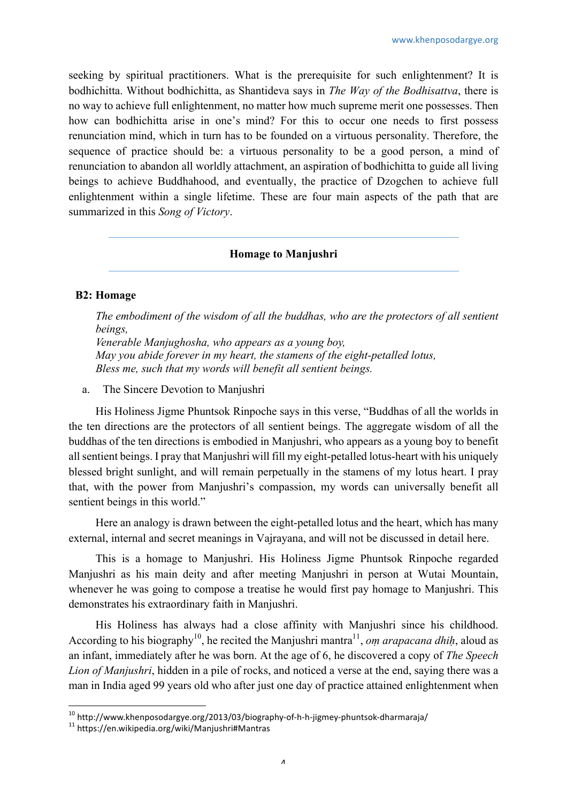seeking by spiritual practitioners. What is the prerequisite for such enlightenment? It is bodhichitta. Without bodhichitta, as Shantideva says in *The Way of the Bodhisattva*, there is no way to achieve full enlightenment, no matter how much supreme merit one possesses. Then how can bodhichitta arise in one's mind? For this to occur one needs to first possess renunciation mind, which in turn has to be founded on a virtuous personality. Therefore, the sequence of practice should be: a virtuous personality to be a good person, a mind of renunciation to abandon all worldly attachment, an aspiration of bodhichitta to guide all living beings to achieve Buddhahood, and eventually, the practice of Dzogchen to achieve full enlightenment within a single lifetime. These are four main aspects of the path that are summarized in this *Song of Victory*.

## **Homage to Manjushri**

### **B2: Homage**

*The embodiment of the wisdom of all the buddhas, who are the protectors of all sentient beings,*

*Venerable Manjughosha, who appears as a young boy, May you abide forever in my heart, the stamens of the eight-petalled lotus, Bless me, such that my words will benefit all sentient beings.*

a. The Sincere Devotion to Manjushri

His Holiness Jigme Phuntsok Rinpoche says in this verse, "Buddhas of all the worlds in the ten directions are the protectors of all sentient beings. The aggregate wisdom of all the buddhas of the ten directions is embodied in Manjushri, who appears as a young boy to benefit all sentient beings. I pray that Manjushri will fill my eight-petalled lotus-heart with his uniquely blessed bright sunlight, and will remain perpetually in the stamens of my lotus heart. I pray that, with the power from Manjushri's compassion, my words can universally benefit all sentient beings in this world."

Here an analogy is drawn between the eight-petalled lotus and the heart, which has many external, internal and secret meanings in Vajrayana, and will not be discussed in detail here.

This is a homage to Manjushri. His Holiness Jigme Phuntsok Rinpoche regarded Manjushri as his main deity and after meeting Manjushri in person at Wutai Mountain, whenever he was going to compose a treatise he would first pay homage to Manjushri. This demonstrates his extraordinary faith in Manjushri.

His Holiness has always had a close affinity with Manjushri since his childhood. According to his biography<sup>10</sup>, he recited the Manjushri mantra<sup>11</sup>, *om arapacana dhih*, aloud as an infant, immediately after he was born. At the age of 6, he discovered a copy of *The Speech Lion of Manjushri*, hidden in a pile of rocks, and noticed a verse at the end, saying there was a man in India aged 99 years old who after just one day of practice attained enlightenment when

<sup>&</sup>lt;sup>10</sup> http://www.khenposodargye.org/2013/03/biography-of-h-h-jigmey-phuntsok-dharmaraja/<br><sup>11</sup> https://en.wikipedia.org/wiki/Manjushri#Mantras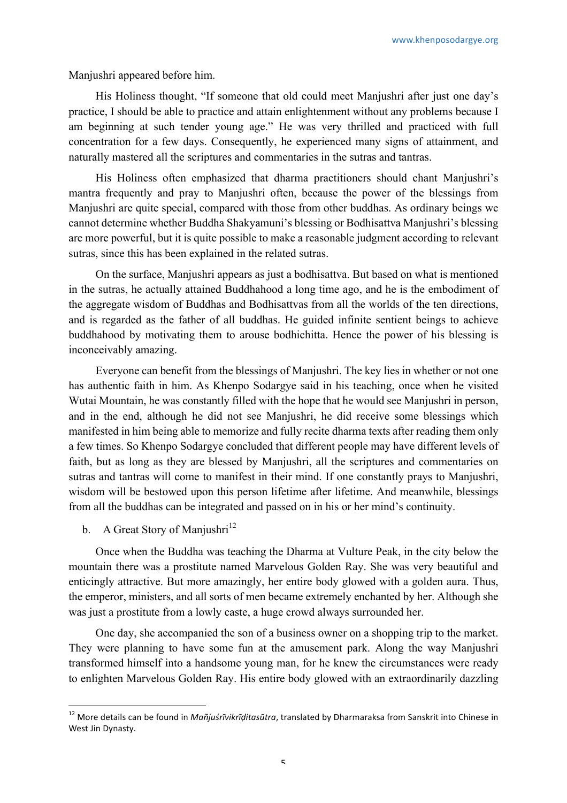Manjushri appeared before him.

His Holiness thought, "If someone that old could meet Manjushri after just one day's practice, I should be able to practice and attain enlightenment without any problems because I am beginning at such tender young age." He was very thrilled and practiced with full concentration for a few days. Consequently, he experienced many signs of attainment, and naturally mastered all the scriptures and commentaries in the sutras and tantras.

His Holiness often emphasized that dharma practitioners should chant Manjushri's mantra frequently and pray to Manjushri often, because the power of the blessings from Manjushri are quite special, compared with those from other buddhas. As ordinary beings we cannot determine whether Buddha Shakyamuni's blessing or Bodhisattva Manjushri's blessing are more powerful, but it is quite possible to make a reasonable judgment according to relevant sutras, since this has been explained in the related sutras.

On the surface, Manjushri appears as just a bodhisattva. But based on what is mentioned in the sutras, he actually attained Buddhahood a long time ago, and he is the embodiment of the aggregate wisdom of Buddhas and Bodhisattvas from all the worlds of the ten directions, and is regarded as the father of all buddhas. He guided infinite sentient beings to achieve buddhahood by motivating them to arouse bodhichitta. Hence the power of his blessing is inconceivably amazing.

Everyone can benefit from the blessings of Manjushri. The key lies in whether or not one has authentic faith in him. As Khenpo Sodargye said in his teaching, once when he visited Wutai Mountain, he was constantly filled with the hope that he would see Manjushri in person, and in the end, although he did not see Manjushri, he did receive some blessings which manifested in him being able to memorize and fully recite dharma texts after reading them only a few times. So Khenpo Sodargye concluded that different people may have different levels of faith, but as long as they are blessed by Manjushri, all the scriptures and commentaries on sutras and tantras will come to manifest in their mind. If one constantly prays to Manjushri, wisdom will be bestowed upon this person lifetime after lifetime. And meanwhile, blessings from all the buddhas can be integrated and passed on in his or her mind's continuity.

b. A Great Story of Manjushri<sup>12</sup>

 

Once when the Buddha was teaching the Dharma at Vulture Peak, in the city below the mountain there was a prostitute named Marvelous Golden Ray. She was very beautiful and enticingly attractive. But more amazingly, her entire body glowed with a golden aura. Thus, the emperor, ministers, and all sorts of men became extremely enchanted by her. Although she was just a prostitute from a lowly caste, a huge crowd always surrounded her.

One day, she accompanied the son of a business owner on a shopping trip to the market. They were planning to have some fun at the amusement park. Along the way Manjushri transformed himself into a handsome young man, for he knew the circumstances were ready to enlighten Marvelous Golden Ray. His entire body glowed with an extraordinarily dazzling

<sup>&</sup>lt;sup>12</sup> More details can be found in *Mañjuśrīvikrīḍitasūtra,* translated by Dharmaraksa from Sanskrit into Chinese in West Jin Dynasty.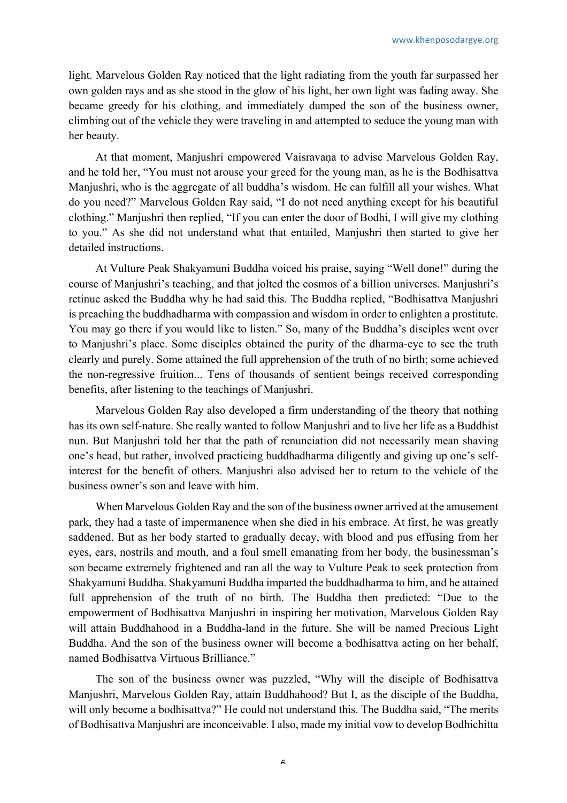light. Marvelous Golden Ray noticed that the light radiating from the youth far surpassed her own golden rays and as she stood in the glow of his light, her own light was fading away. She became greedy for his clothing, and immediately dumped the son of the business owner, climbing out of the vehicle they were traveling in and attempted to seduce the young man with her beauty.

At that moment, Manjushri empowered Vaisravana to advise Marvelous Golden Ray, and he told her, "You must not arouse your greed for the young man, as he is the Bodhisattva Manjushri, who is the aggregate of all buddha's wisdom. He can fulfill all your wishes. What do you need?" Marvelous Golden Ray said, "I do not need anything except for his beautiful clothing." Manjushri then replied, "If you can enter the door of Bodhi, I will give my clothing to you." As she did not understand what that entailed, Manjushri then started to give her detailed instructions.

At Vulture Peak Shakyamuni Buddha voiced his praise, saying "Well done!" during the course of Manjushri's teaching, and that jolted the cosmos of a billion universes. Manjushri's retinue asked the Buddha why he had said this. The Buddha replied, "Bodhisattva Manjushri is preaching the buddhadharma with compassion and wisdom in order to enlighten a prostitute. You may go there if you would like to listen." So, many of the Buddha's disciples went over to Manjushri's place. Some disciples obtained the purity of the dharma-eye to see the truth clearly and purely. Some attained the full apprehension of the truth of no birth; some achieved the non-regressive fruition... Tens of thousands of sentient beings received corresponding benefits, after listening to the teachings of Manjushri.

Marvelous Golden Ray also developed a firm understanding of the theory that nothing has its own self-nature. She really wanted to follow Manjushri and to live her life as a Buddhist nun. But Manjushri told her that the path of renunciation did not necessarily mean shaving one's head, but rather, involved practicing buddhadharma diligently and giving up one's selfinterest for the benefit of others. Manjushri also advised her to return to the vehicle of the business owner's son and leave with him.

When Marvelous Golden Ray and the son of the business owner arrived at the amusement park, they had a taste of impermanence when she died in his embrace. At first, he was greatly saddened. But as her body started to gradually decay, with blood and pus effusing from her eyes, ears, nostrils and mouth, and a foul smell emanating from her body, the businessman's son became extremely frightened and ran all the way to Vulture Peak to seek protection from Shakyamuni Buddha. Shakyamuni Buddha imparted the buddhadharma to him, and he attained full apprehension of the truth of no birth. The Buddha then predicted: "Due to the empowerment of Bodhisattva Manjushri in inspiring her motivation, Marvelous Golden Ray will attain Buddhahood in a Buddha-land in the future. She will be named Precious Light Buddha. And the son of the business owner will become a bodhisattva acting on her behalf, named Bodhisattva Virtuous Brilliance."

The son of the business owner was puzzled, "Why will the disciple of Bodhisattva Manjushri, Marvelous Golden Ray, attain Buddhahood? But I, as the disciple of the Buddha, will only become a bodhisattva?" He could not understand this. The Buddha said, "The merits" of Bodhisattva Manjushri are inconceivable. I also, made my initial vow to develop Bodhichitta